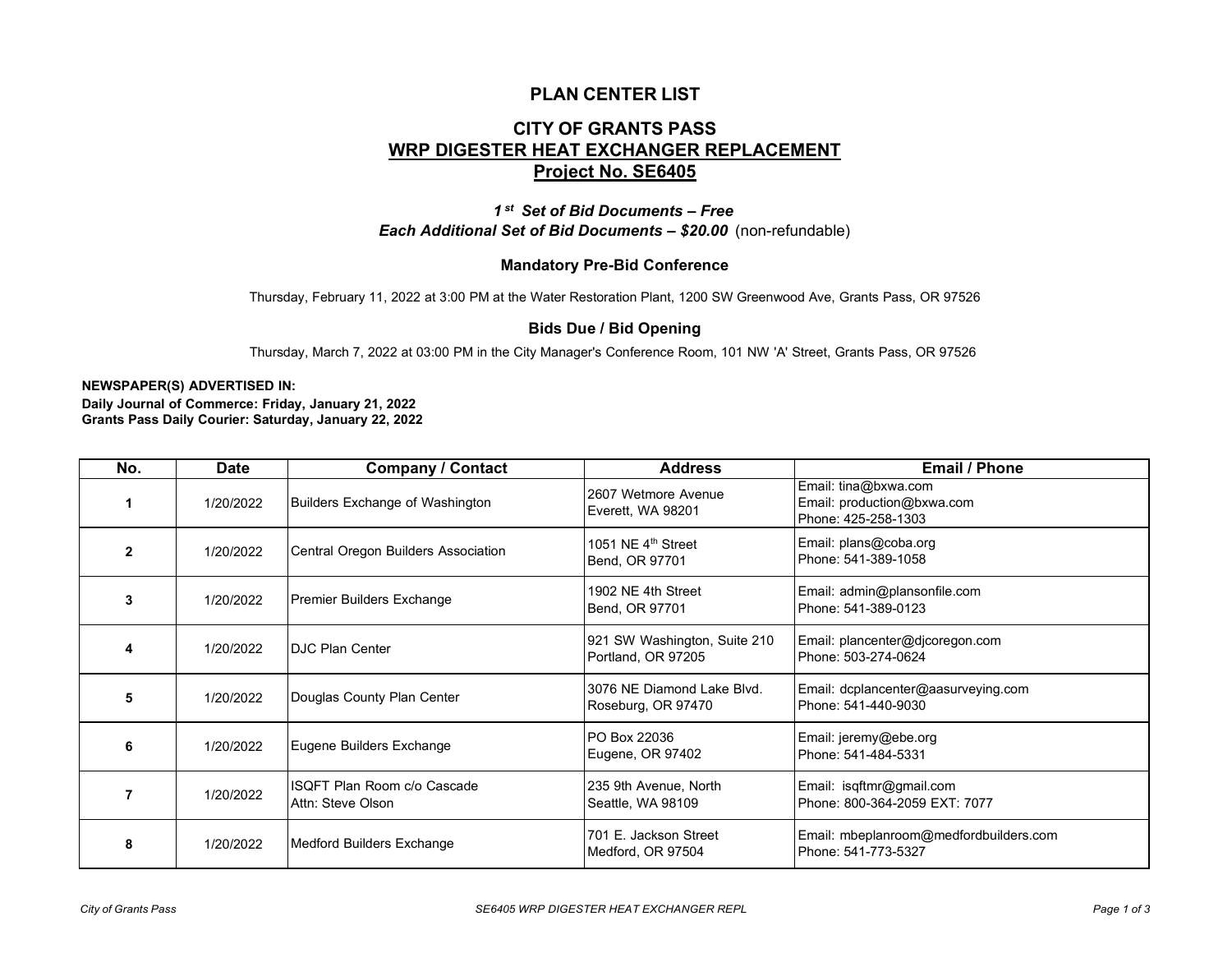## **PLAN CENTER LIST**

# **CITY OF GRANTS PASS WRP DIGESTER HEAT EXCHANGER REPLACEMENT Project No. SE6405**

*1 st Set of Bid Documents – Free Each Additional Set of Bid Documents – \$20.00* (non-refundable)

### **Mandatory Pre-Bid Conference**

Thursday, February 11, 2022 at 3:00 PM at the Water Restoration Plant, 1200 SW Greenwood Ave, Grants Pass, OR 97526

#### **Bids Due / Bid Opening**

Thursday, March 7, 2022 at 03:00 PM in the City Manager's Conference Room, 101 NW 'A' Street, Grants Pass, OR 97526

#### **NEWSPAPER(S) ADVERTISED IN:**

**Daily Journal of Commerce: Friday, January 21, 2022 Grants Pass Daily Courier: Saturday, January 22, 2022**

| No.          | <b>Date</b> | <b>Company / Contact</b>                         | <b>Address</b>                                     | <b>Email / Phone</b>                                                      |
|--------------|-------------|--------------------------------------------------|----------------------------------------------------|---------------------------------------------------------------------------|
|              | 1/20/2022   | Builders Exchange of Washington                  | 2607 Wetmore Avenue<br>Everett, WA 98201           | Email: tina@bxwa.com<br>Email: production@bxwa.com<br>Phone: 425-258-1303 |
| $\mathbf{2}$ | 1/20/2022   | Central Oregon Builders Association              | 1051 NE 4 <sup>th</sup> Street<br>Bend, OR 97701   | Email: plans@coba.org<br>Phone: 541-389-1058                              |
| 3            | 1/20/2022   | Premier Builders Exchange                        | 1902 NE 4th Street<br>Bend, OR 97701               | Email: admin@plansonfile.com<br>Phone: 541-389-0123                       |
| 4            | 1/20/2022   | <b>DJC Plan Center</b>                           | 921 SW Washington, Suite 210<br>Portland, OR 97205 | Email: plancenter@djcoregon.com<br>Phone: 503-274-0624                    |
| 5            | 1/20/2022   | Douglas County Plan Center                       | 3076 NF Diamond Lake Blvd.<br>Roseburg, OR 97470   | Email: dcplancenter@aasurveying.com<br>Phone: 541-440-9030                |
| 6            | 1/20/2022   | Eugene Builders Exchange                         | PO Box 22036<br>Eugene, OR 97402                   | Email: jeremy@ebe.org<br>Phone: 541-484-5331                              |
|              | 1/20/2022   | ISQFT Plan Room c/o Cascade<br>Attn: Steve Olson | 235 9th Avenue, North<br>Seattle, WA 98109         | Email: isqftmr@gmail.com<br>Phone: 800-364-2059 EXT: 7077                 |
| 8            | 1/20/2022   | Medford Builders Exchange                        | 701 E. Jackson Street<br>Medford, OR 97504         | Email: mbeplanroom@medfordbuilders.com<br>Phone: 541-773-5327             |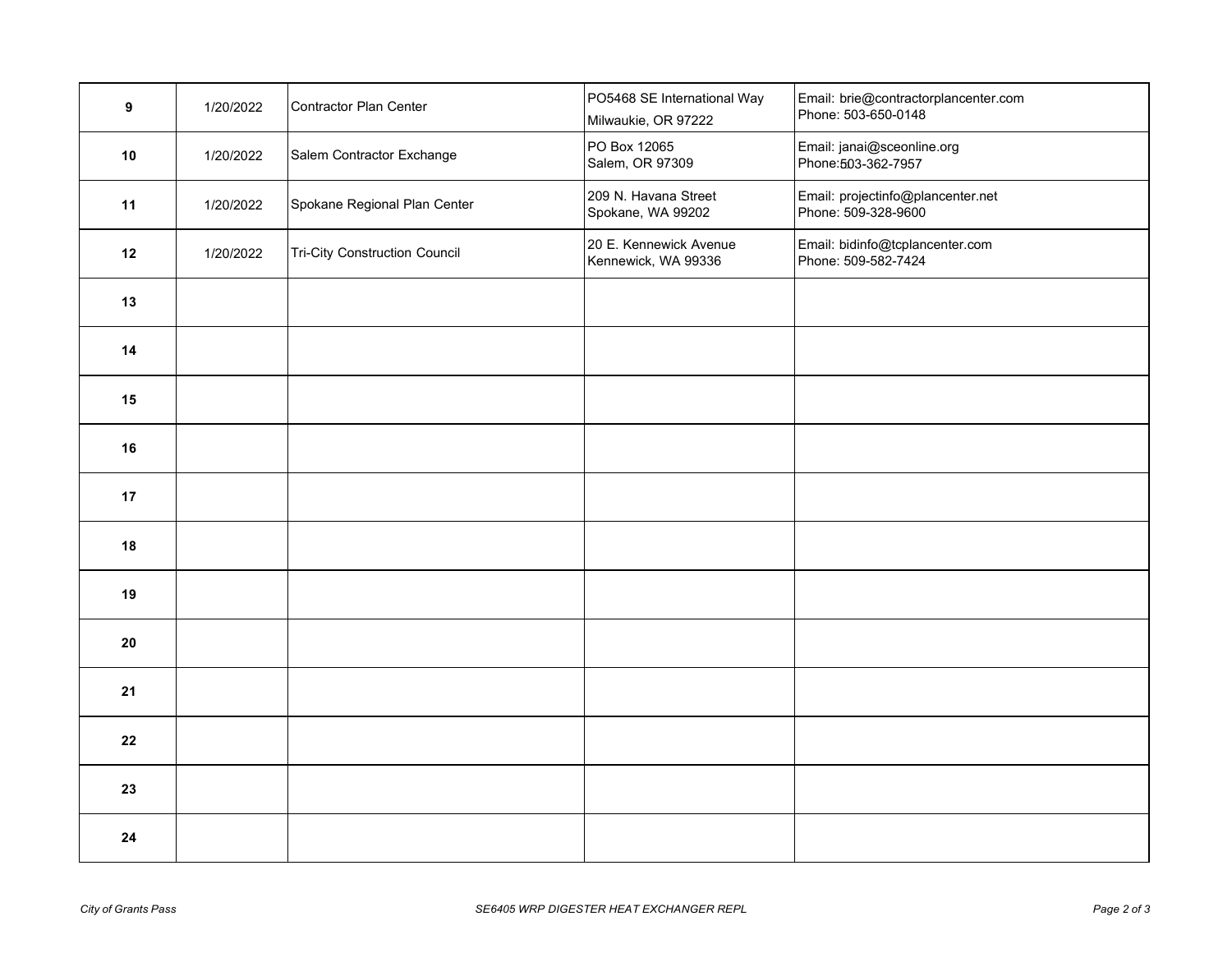| 9    | 1/20/2022 | Contractor Plan Center               | PO5468 SE International Way<br>Milwaukie, OR 97222 | Email: brie@contractorplancenter.com<br>Phone: 503-650-0148 |
|------|-----------|--------------------------------------|----------------------------------------------------|-------------------------------------------------------------|
| 10   | 1/20/2022 | Salem Contractor Exchange            | PO Box 12065<br>Salem, OR 97309                    | Email: janai@sceonline.org<br>Phone: 503-362-7957           |
| 11   | 1/20/2022 | Spokane Regional Plan Center         | 209 N. Havana Street<br>Spokane, WA 99202          | Email: projectinfo@plancenter.net<br>Phone: 509-328-9600    |
| 12   | 1/20/2022 | <b>Tri-City Construction Council</b> | 20 E. Kennewick Avenue<br>Kennewick, WA 99336      | Email: bidinfo@tcplancenter.com<br>Phone: 509-582-7424      |
| 13   |           |                                      |                                                    |                                                             |
| 14   |           |                                      |                                                    |                                                             |
| $15$ |           |                                      |                                                    |                                                             |
| 16   |           |                                      |                                                    |                                                             |
| 17   |           |                                      |                                                    |                                                             |
| 18   |           |                                      |                                                    |                                                             |
| 19   |           |                                      |                                                    |                                                             |
| 20   |           |                                      |                                                    |                                                             |
| 21   |           |                                      |                                                    |                                                             |
| 22   |           |                                      |                                                    |                                                             |
| 23   |           |                                      |                                                    |                                                             |
| 24   |           |                                      |                                                    |                                                             |